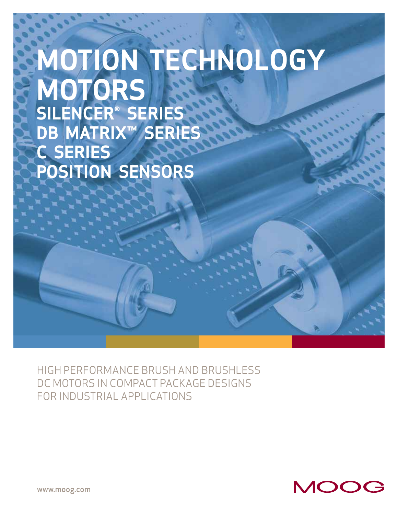# **MOTION TECHNOLOGY MOTORS SILENCER® SERIES DB MATRIX™ SERIES C SERIES POSITION SENSORS**

HIGH PERFORMANCE BRUSH AND BRUSHLESS DC MOTORS IN COMPACT PACKAGE DESIGNS FOR INDUSTRIAL APPLICATIONS



www.moog.com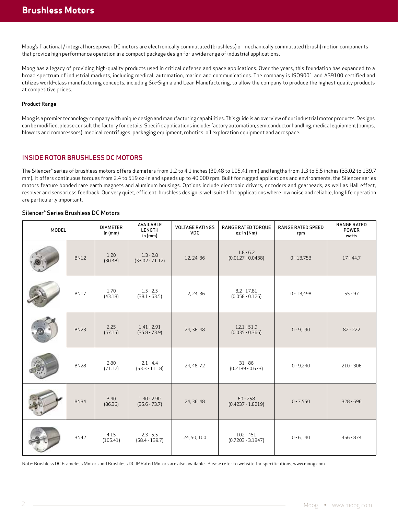Moog's fractional / integral horsepower DC motors are electronically commutated (brushless) or mechanically commutated (brush) motion components that provide high performance operation in a compact package design for a wide range of industrial applications.

Moog has a legacy of providing high-quality products used in critical defense and space applications. Over the years, this foundation has expanded to a broad spectrum of industrial markets, including medical, automation, marine and communications. The company is ISO9001 and AS9100 certified and utilizes world-class manufacturing concepts, including Six-Sigma and Lean Manufacturing, to allow the company to produce the highest quality products at competitive prices.

#### Product Range

Moog is a premier technology company with unique design and manufacturing capabilities. This guide is an overview of our industrial motor products. Designs can be modified, please consult the factory for details. Specific applications include: factory automation, semiconductor handling, medical equipment (pumps, blowers and compressors), medical centrifuges, packaging equipment, robotics, oil exploration equipment and aerospace.

### INSIDE ROTOR BRUSHLESS DC MOTORS

The Silencer® series of brushless motors offers diameters from 1.2 to 4.1 inches (30.48 to 105.41 mm) and lengths from 1.3 to 5.5 inches (33.02 to 139.7 mm). It offers continuous torques from 2.4 to 519 oz-in and speeds up to 40,000 rpm. Built for rugged applications and environments, the Silencer series motors feature bonded rare earth magnets and aluminum housings. Options include electronic drivers, encoders and gearheads, as well as Hall effect, resolver and sensorless feedback. Our very quiet, efficient, brushless design is well suited for applications where low noise and reliable, long life operation are particularly important.

#### Silencer® Series Brushless DC Motors

| <b>MODEL</b> |             | <b>DIAMETER</b><br>in $(mm)$ | AVAILABLE<br>LENGTH<br>in $(mm)$ | <b>VOLTAGE RATINGS</b><br><b>VDC</b> | RANGE RATED TORQUE<br>oz-in (Nm)   | <b>RANGE RATED SPEED</b><br>rpm | <b>RANGE RATED</b><br><b>POWER</b><br>watts |
|--------------|-------------|------------------------------|----------------------------------|--------------------------------------|------------------------------------|---------------------------------|---------------------------------------------|
|              | <b>BN12</b> | 1.20<br>(30.48)              | $1.3 - 2.8$<br>$(33.02 - 71.12)$ | 12, 24, 36                           | $1.8 - 6.2$<br>$(0.0127 - 0.0438)$ | $0 - 13,753$                    | $17 - 44.7$                                 |
|              | <b>BN17</b> | 1.70<br>(43.18)              | $1.5 - 2.5$<br>$(38.1 - 63.5)$   | 12, 24, 36                           | $8.2 - 17.81$<br>$(0.058 - 0.126)$ | $0 - 13,498$                    | $55 - 97$                                   |
|              | <b>BN23</b> | 2.25<br>(57.15)              | $1.41 - 2.91$<br>$(35.8 - 73.9)$ | 24, 36, 48                           | $12.1 - 51.9$<br>$(0.035 - 0.366)$ | $0 - 9,190$                     | $82 - 222$                                  |
|              | <b>BN28</b> | 2.80<br>(71.12)              | $2.1 - 4.4$<br>$(53.3 - 111.8)$  | 24, 48, 72                           | $31 - 86$<br>$(0.2189 - 0.673)$    | $0 - 9,240$                     | $210 - 306$                                 |
|              | <b>BN34</b> | 3.40<br>(86.36)              | $1.40 - 2.90$<br>$(35.6 - 73.7)$ | 24, 36, 48                           | $60 - 258$<br>$(0.4237 - 1.8219)$  | $0 - 7,550$                     | $328 - 696$                                 |
|              | <b>BN42</b> | 4.15<br>(105.41)             | $2.3 - 5.5$<br>$(58.4 - 139.7)$  | 24, 50, 100                          | $102 - 451$<br>$(0.7203 - 3.1847)$ | $0 - 6,140$                     | 456 - 874                                   |

Note: Brushless DC Frameless Motors and Brushless DC IP Rated Motors are also available. Please refer to website for specifications, www.moog.com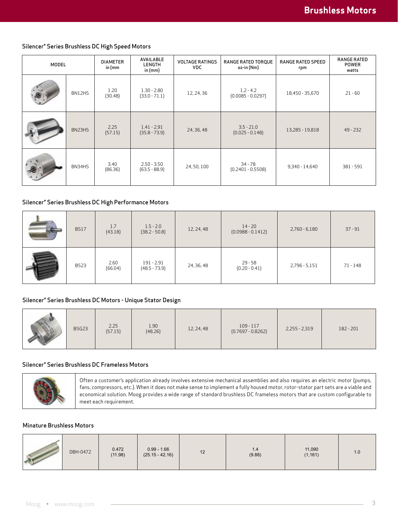### Silencer® Series Brushless DC High Speed Motors

| <b>MODEL</b> |        | <b>DIAMETER</b><br>in (mm | AVAILABLE<br>LENGTH<br>in $(mm)$ | <b>VOLTAGE RATINGS</b><br><b>VDC</b>             | RANGE RATED TORQUE<br>oz-in (Nm)  | <b>RANGE RATED SPEED</b><br>rpm | <b>RANGE RATED</b><br><b>POWER</b><br>watts |
|--------------|--------|---------------------------|----------------------------------|--------------------------------------------------|-----------------------------------|---------------------------------|---------------------------------------------|
|              | BN12HS | 1.20<br>(30.48)           | $1.30 - 2.80$<br>$(33.0 - 71.1)$ | $1.2 - 4.2$<br>12, 24, 36<br>$(0.0085 - 0.0297)$ |                                   | 18,450 - 35,670                 | $21 - 60$                                   |
|              | BN23HS | 2.25<br>(57.15)           | $1.41 - 2.91$<br>$(35.8 - 73.9)$ | 24, 36, 48                                       | $3.5 - 21.0$<br>$(0.025 - 0.148)$ | 13,285 - 19,818                 | $49 - 232$                                  |
|              | BN34HS | 3.40<br>(86.36)           | $2.50 - 3.50$<br>$(63.5 - 88.9)$ | 24, 50, 100                                      | $34 - 78$<br>$(0.2401 - 0.5508)$  | $9,340 - 14,640$                | $381 - 591$                                 |

## Silencer® Series Brushless DC High Performance Motors

| <b>BS17</b> | 1.7<br>(43.18)  | $1.5 - 2.0$<br>$(38.2 - 50.8)$  | 12, 24, 48 | $14 - 20$<br>$(0.0988 - 0.1412)$ | $2,760 - 6,180$ | $37 - 91$ |
|-------------|-----------------|---------------------------------|------------|----------------------------------|-----------------|-----------|
| <b>BS23</b> | 2.60<br>(66.04) | $191 - 2.91$<br>$(48.5 - 73.9)$ | 24, 36, 48 | $29 - 58$<br>$(0.20 - 0.41)$     | 2,796 - 5,151   | 71 - 148  |

### Silencer® Series Brushless DC Motors - Unique Stator Design

| 1.90<br>2.25<br>BSG23<br>(48.26)<br>(57.15) | 12, 24, 48 | $109 - 117$<br>$(0.7697 - 0.8262)$ | $2,255 - 2,319$ | 182 - 201 |
|---------------------------------------------|------------|------------------------------------|-----------------|-----------|
|---------------------------------------------|------------|------------------------------------|-----------------|-----------|

## Silencer® Series Brushless DC Frameless Motors



Often a customer's application already involves extensive mechanical assemblies and also requires an electric motor (pumps, fans, compressors, etc.). When it does not make sense to implement a fully housed motor, rotor-stator part sets are a viable and economical solution. Moog provides a wide range of standard brushless DC frameless motors that are custom configurable to meet each requirement.

## Minature Brushless Motors

| DBH-0472 | $0.472$<br>(11.98) | $0.99 - 1.66$<br>(25.15 - 42.16) | 12 | 1.4<br>(9.88) | 11,090<br>(1, 161) | 1.0 |
|----------|--------------------|----------------------------------|----|---------------|--------------------|-----|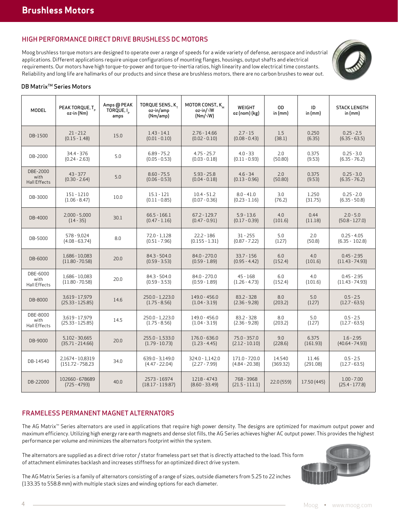# HIGH PERFORMANCE DIRECT DRIVE BRUSHLESS DC MOTORS

Moog brushless torque motors are designed to operate over a range of speeds for a wide variety of defense, aerospace and industrial applications. Different applications require unique configurations of mounting flanges, housings, output shafts and electrical requirements. Our motors have high torque-to-power and torque-to-inertia ratios, high linearity and low electrical time constants. Reliability and long life are hallmarks of our products and since these are brushless motors, there are no carbon brushes to wear out.



#### DB Matrix<sup>™</sup> Series Motors

| <b>MODEL</b>                            | PEAK TORQUE, T<br>oz-in (Nm)            | Amps @ PEAK<br>TORQUE, I<br>amps | TORQUE SENS., K_<br>oz-in/amp<br>(Nm/amp) | MOTOR CONST., K <sub>M</sub><br>oz-in/√W<br>$(Nm/\sqrt{W})$ | WEIGHT<br>oz (nom) (kg)            | <b>OD</b><br>in $(mm)$ | ID<br>in $(mm)$   | <b>STACK LENGTH</b><br>in $(mm)$   |
|-----------------------------------------|-----------------------------------------|----------------------------------|-------------------------------------------|-------------------------------------------------------------|------------------------------------|------------------------|-------------------|------------------------------------|
| DB-1500                                 | $21 - 212$<br>$(0.15 - 1.48)$           | 15.0                             | $1.43 - 14.1$<br>$(0.01 - 0.10)$          | $2.76 - 14.66$<br>$(0.02 - 0.10)$                           | $2.7 - 15$<br>$(0.08 - 0.43)$      | 1.5<br>(38.1)          | 0.250<br>(6.35)   | $0.25 - 2.5$<br>$(6.35 - 63.5)$    |
| DB-2000                                 | 34.4 - 376<br>$(0.24 - 2.63)$           | 5.0                              | $6.89 - 75.2$<br>$(0.05 - 0.53)$          | $4.75 - 25.7$<br>$(0.03 - 0.18)$                            | $4.0 - 33$<br>$(0.11 - 0.93)$      | 2.0<br>(50.80)         | 0.375<br>(9.53)   | $0.25 - 3.0$<br>$(6.35 - 76.2)$    |
| DBE-2000<br>with<br><b>Hall Effects</b> | $43 - 377$<br>$(0.30 - 2.64)$           | 5.0                              | $8.60 - 75.5$<br>$(0.06 - 0.53)$          | $5.93 - 25.8$<br>$(0.04 - 0.18)$                            | $4.6 - 34$<br>$(0.13 - 0.96)$      | 2.0<br>(50.80)         | 0.375<br>(9.53)   | $0.25 - 3.0$<br>$(6.35 - 76.2)$    |
| DB-3000                                 | 151 - 1210<br>$(1.06 - 8.47)$           | 10.0                             | $15.1 - 121$<br>$(0.11 - 0.85)$           | $10.4 - 51.2$<br>$(0.07 - 0.36)$                            | $8.0 - 41.0$<br>$(0.23 - 1.16)$    | 3.0<br>(76.2)          | 1.250<br>(31.75)  | $0.25 - 2.0$<br>$(6.35 - 50.8)$    |
| DB-4000                                 | $2,000 - 5,000$<br>$(14 - 35)$          | 30.1                             | $66.5 - 166.1$<br>$(0.47 - 1.16)$         | $67.2 - 129.7$<br>$(0.47 - 0.91)$                           | $5.9 - 13.6$<br>$(0.17 - 0.39)$    | 4.0<br>(101.6)         | 0.44<br>(11.18)   | $2.0 - 5.0$<br>$(50.8 - 127.0)$    |
| DB-5000                                 | 578 - 9.024<br>$(4.08 - 63.74)$         | 8.0                              | $72.0 - 1,128$<br>$(0.51 - 7.96)$         | 22.2 - 186<br>$(0.155 - 1.31)$                              | $31 - 255$<br>$(0.87 - 7.22)$      | 5.0<br>(127)           | 2.0<br>(50.8)     | $0.25 - 4.05$<br>$(6.35 - 102.8)$  |
| DB-6000                                 | 1.686 - 10.083<br>$(11.80 - 70.58)$     | 20.0                             | $84.3 - 504.0$<br>$(0.59 - 3.53)$         | $84.0 - 270.0$<br>$(0.59 - 1.89)$                           | $33.7 - 156$<br>$(0.95 - 4.42)$    | 6.0<br>(152.4)         | 4.0<br>(101.6)    | $0.45 - 2.95$<br>$(11.43 - 74.93)$ |
| DBE-6000<br>with<br>Hall Effects        | 1,686 - 10,083<br>$(11.80 - 70.58)$     | 20.0                             | $84.3 - 504.0$<br>$(0.59 - 3.53)$         | $84.0 - 270.0$<br>$(0.59 - 1.89)$                           | $45 - 168$<br>$(1.26 - 4.73)$      | 6.0<br>(152.4)         | 4.0<br>(101.6)    | $0.45 - 2.95$<br>$(11.43 - 74.93)$ |
| DB-8000                                 | 3,619 - 17,979<br>$(25.33 - 125.85)$    | 14.6                             | 250.0 - 1.223.0<br>$(1.75 - 8.56)$        | 149.0 - 456.0<br>$(1.04 - 3.19)$                            | $83.2 - 328$<br>$(2.36 - 9.28)$    | 8.0<br>(203.2)         | 5.0<br>(127)      | $0.5 - 2.5$<br>$(12.7 - 63.5)$     |
| DBE-8000<br>with<br>Hall Effects        | 3,619 - 17,979<br>$(25.33 - 125.85)$    | 14.5                             | 250.0 - 1,223.0<br>$(1.75 - 8.56)$        | 149.0 - 456.0<br>$(1.04 - 3.19)$                            | 83.2 - 328<br>$(2.36 - 9.28)$      | 8.0<br>(203.2)         | 5.0<br>(127)      | $0.5 - 2.5$<br>$(12.7 - 63.5)$     |
| DB-9000                                 | $5,102 - 30,665$<br>$(35.71 - 214.66)$  | 20.0                             | 255.0 - 1.533.0<br>$(1.79 - 10.73)$       | 176.0 - 636.0<br>$(1.23 - 4.45)$                            | $75.0 - 357.0$<br>$(2.12 - 10.10)$ | 9.0<br>(228.6)         | 6.375<br>(161.93) | $1.6 - 2.95$<br>$(40.64 - 74.93)$  |
| DB-14540                                | 2.1674 - 10.8319<br>$(151.72 - 758.23)$ | 34.0                             | 639.0 - 3.149.0<br>$(4.47 - 22.04)$       | 324.0 - 1.142.0<br>$(2.27 - 7.99)$                          | 171.0 - 720.0<br>$(4.84 - 20.38)$  | 14.540<br>(369.32)     | 11.46<br>(291.08) | $0.5 - 2.5$<br>$(12.7 - 63.5)$     |
| DB-22000                                | 102660 - 678689<br>$(725 - 4793)$       | 40.0                             | 2573 - 16974<br>$(18.17 - 119.87)$        | 1218 - 4743<br>$(8.60 - 33.49)$                             | 768 - 3968<br>$(21.5 - 111.1)$     | 22.0 (559)             | 17.50 (445)       | $1.00 - 7.00$<br>$(25.4 - 177.8)$  |

# FRAMELESS PERMANENT MAGNET ALTERNATORS

The AG Matrix™ Series alternators are used in applications that require high power density. The designs are optimized for maximum output power and maximum efficiency. Utilizing high energy rare earth magnets and dense slot fills, the AG Series achieves higher AC output power. This provides the highest performance per volume and minimizes the alternators footprint within the system.

The alternators are supplied as a direct drive rotor / stator frameless part set that is directly attached to the load. This form of attachment eliminates backlash and increases stiffness for an optimized direct drive system.



The AG Matrix Series is a family of alternators consisting of a range of sizes, outside diameters from 5.25 to 22 inches (133.35 to 558.8 mm) with multiple stack sizes and winding options for each diameter.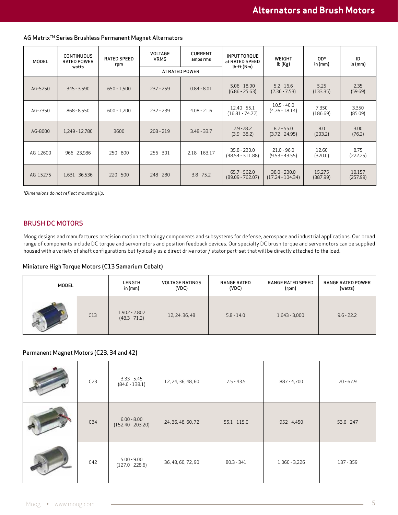| MODEL    | <b>CONTINUOUS</b><br><b>RATED POWER</b> | <b>RATED SPEED</b><br>rpm | <b>VOLTAGE</b><br><b>VRMS</b> | <b>CURRENT</b><br>amps rms | INPUT TORQUE<br>at RATED SPEED       | WEIGHT<br>lb (Kg)                    | OD*<br>in $(mm)$   | ID<br>in $(mm)$    |
|----------|-----------------------------------------|---------------------------|-------------------------------|----------------------------|--------------------------------------|--------------------------------------|--------------------|--------------------|
|          | watts                                   |                           |                               | AT RATED POWER             | lb-ft (Nm)                           |                                      |                    |                    |
| AG-5250  | $345 - 3,590$                           | $650 - 1,500$             | $237 - 259$                   | $0.84 - 8.01$              | $5.06 - 18.90$<br>$(6.86 - 25.63)$   | $5.2 - 16.6$<br>$(2.36 - 7.53)$      | 5.25<br>(133.35)   | 2.35<br>(59.69)    |
| AG-7350  | $868 - 8,550$                           | $600 - 1,200$             | 232 - 239                     | $4.08 - 21.6$              | $12.40 - 55.1$<br>$(16.81 - 74.72)$  | $10.5 - 40.0$<br>$(4.76 - 18.14)$    | 7.350<br>(186.69)  | 3.350<br>(85.09)   |
| AG-8000  | 1,249 - 12,780                          | 3600                      | $208 - 219$                   | $3.48 - 33.7$              | $2.9 - 28.2$<br>$(3.9 - 38.2)$       | $8.2 - 55.0$<br>$(3.72 - 24.95)$     | 8.0<br>(203.2)     | 3.00<br>(76.2)     |
| AG-12600 | 966 - 23,986                            | $250 - 800$               | $256 - 301$                   | $2.18 - 163.17$            | $35.8 - 230.0$<br>$(48.54 - 311.88)$ | $21.0 - 96.0$<br>$(9.53 - 43.55)$    | 12.60<br>(320.0)   | 8.75<br>(222.25)   |
| AG-15275 | 1,631 - 36,536                          | $220 - 500$               | $248 - 280$                   | $3.8 - 75.2$               | $65.7 - 562.0$<br>$(89.09 - 762.07)$ | $38.0 - 230.0$<br>$(17.24 - 104.34)$ | 15.275<br>(387.99) | 10.157<br>(257.99) |

AG Matrix<sup>™</sup> Series Brushless Permanent Magnet Alternators

*\*Dimensions do not reflect mounting lip.*

# BRUSH DC MOTORS

Moog designs and manufactures precision motion technology components and subsystems for defense, aerospace and industrial applications. Our broad range of components include DC torque and servomotors and position feedback devices. Our specialty DC brush torque and servomotors can be supplied housed with a variety of shaft configurations but typically as a direct drive rotor / stator part-set that will be directly attached to the load.

### Miniature High Torque Motors (C13 Samarium Cobalt)

| MODEL |     | LENGTH                             | <b>VOLTAGE RATINGS</b> | <b>RANGE RATED</b> | RANGE RATED SPEED | RANGE RATED POWER |
|-------|-----|------------------------------------|------------------------|--------------------|-------------------|-------------------|
|       |     | in $(mm)$                          | (VDC)                  | (VDC)              | (rpm)             | (watts)           |
|       | C13 | $1.902 - 2.802$<br>$(48.3 - 71.2)$ | 12, 24, 36, 48         | $5.8 - 14.0$       | $1,643 - 3,000$   | $9.6 - 22.2$      |

## Permanent Magnet Motors (C23, 34 and 42)

| C <sub>23</sub> | $3.33 - 5.45$<br>$(84.6 - 138.1)$    | 12, 24, 36, 48, 60 | $7.5 - 43.5$   | 887 - 4,700   | $20 - 67.9$  |
|-----------------|--------------------------------------|--------------------|----------------|---------------|--------------|
| C34             | $6.00 - 8.00$<br>$(152.40 - 203.20)$ | 24, 36, 48, 60, 72 | $55.1 - 115.0$ | $952 - 4,450$ | $53.6 - 247$ |
| C42             | $5.00 - 9.00$<br>$(127.0 - 228.6)$   | 36, 48, 60, 72, 90 | $80.3 - 341$   | 1,060 - 3,226 | 137 - 359    |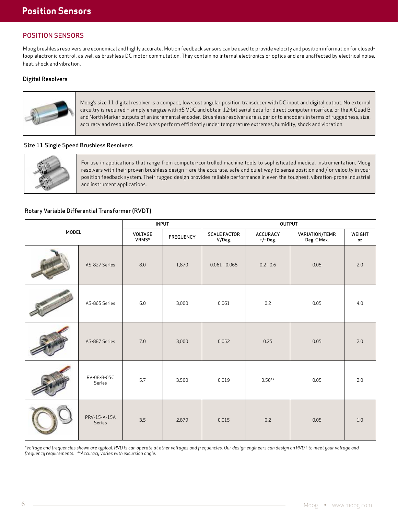# POSITION SENSORS

Moog brushless resolvers are economical and highly accurate. Motion feedback sensors can be used to provide velocity and position information for closedloop electronic control, as well as brushless DC motor commutation. They contain no internal electronics or optics and are unaffected by electrical noise, heat, shock and vibration.

### Digital Resolvers



Moog's size 11 digital resolver is a compact, low-cost angular position transducer with DC input and digital output. No external circuitry is required – simply energize with ±5 VDC and obtain 12-bit serial data for direct computer interface, or the A Quad B and North Marker outputs of an incremental encoder. Brushless resolvers are superior to encoders in terms of ruggedness, size, accuracy and resolution. Resolvers perform efficiently under temperature extremes, humidity, shock and vibration.

#### Size 11 Single Speed Brushless Resolvers



For use in applications that range from computer-controlled machine tools to sophisticated medical instrumentation, Moog resolvers with their proven brushless design – are the accurate, safe and quiet way to sense position and / or velocity in your position feedback system. Their rugged design provides reliable performance in even the toughest, vibration-prone industrial and instrument applications.

## Rotary Variable Differential Transformer (RVDT)

|              |                        | <b>INPUT</b>     |           | <b>OUTPUT</b>                 |                             |                                |              |  |
|--------------|------------------------|------------------|-----------|-------------------------------|-----------------------------|--------------------------------|--------------|--|
| <b>MODEL</b> |                        | VOLTAGE<br>VRMS* | FREQUENCY | <b>SCALE FACTOR</b><br>V/Deg. | <b>ACCURACY</b><br>+/- Deg. | VARIATION/TEMP.<br>Deg. C Max. | WEIGHT<br>0Z |  |
|              | AS-827 Series          | 8.0              | 1,870     | $0.061 - 0.068$               | $0.2 - 0.6$                 | 0.05                           | 2.0          |  |
|              | AS-865 Series          | 6.0              | 3,000     | 0.061                         | $0.2\,$                     | 0.05                           | 4.0          |  |
|              | AS-887 Series          | 7.0              | 3,000     | 0.052                         | 0.25                        | 0.05                           | 2.0          |  |
|              | RV-08-B-05C<br>Series  | 5.7              | 3,500     | 0.019                         | $0.50**$                    | 0.05                           | 2.0          |  |
|              | PRV-15-A-15A<br>Series | 3.5              | 2,879     | 0.015                         | 0.2                         | 0.05                           | 1.0          |  |

*\*Voltage and frequencies shown are typical. RVDTs can operate at other voltages and frequencies. Our design engineers can design an RVDT to meet your voltage and frequency requirements. \*\*Accuracy varies with excursion angle.*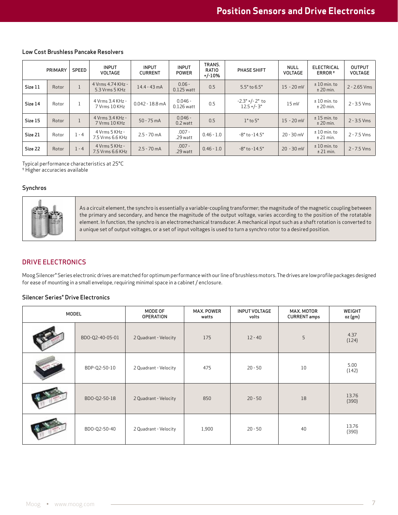|         | PRIMARY | SPEED        | <b>INPUT</b><br><b>VOLTAGE</b>      | <b>INPUT</b><br><b>CURRENT</b> | <b>INPUT</b><br><b>POWER</b> | TRANS.<br>RATIO<br>$+/-10%$ | PHASE SHIFT                                        | NULL<br>VOLTAGE | <b>ELECTRICAL</b><br>ERROR <sup>+</sup> | <b>OUTPUT</b><br>VOLTAGE |
|---------|---------|--------------|-------------------------------------|--------------------------------|------------------------------|-----------------------------|----------------------------------------------------|-----------------|-----------------------------------------|--------------------------|
| Size 11 | Rotor   | $\mathbf{1}$ | 4 Vrms 4.74 KHz -<br>5.3 Vrms 5 KHz | $14.4 - 43 \text{ mA}$         | $0.06 -$<br>$0.125$ watt     | 0.5                         | $5.5^{\circ}$ to $6.5^{\circ}$                     | $15 - 20$ mV    | $±10$ min. to<br>$±$ 20 min.            | $2 - 2.65$ Vms           |
| Size 14 | Rotor   | $\mathbf{1}$ | 4 Vrms 3.4 KHz -<br>7 Vrms 10 KHz   | $0.042 - 18.8$ mA              | $0.046 -$<br>$0.126$ watt    | 0.5                         | $-2.3^{\circ}$ +/- $2^{\circ}$ to<br>$12.5 + (-3)$ | $15 \text{ mV}$ | $±10$ min. to<br>$±$ 20 min.            | 2 - 3.5 Vms              |
| Size 15 | Rotor   | $\mathbf{1}$ | 4 Vrms 3.4 KHz -<br>7 Vrms 10 KHz   | $50 - 75$ mA                   | $0.046 -$<br>$0.2$ watt      | 0.5                         | $1^{\circ}$ to $5^{\circ}$                         | $15 - 20$ mV    | $± 15$ min. to<br>$±$ 20 min.           | $2 - 3.5$ Vms            |
| Size 21 | Rotor   | $1 - 4$      | 4 Vrms 5 KHz -<br>7.5 Vrms 6.6 KHz  | $2.5 - 70$ mA                  | $.007 -$<br>.29 watt         | $0.46 - 1.0$                | $-8^{\circ}$ to $-14.5^{\circ}$                    | $20 - 30$ mV    | $±10$ min. to<br>$±$ 21 min.            | 2 - 7.5 Vms              |
| Size 22 | Rotor   | $1 - 4$      | 4 Vrms 5 KHz -<br>7.5 Vrms 6.6 KHz  | $2.5 - 70$ mA                  | $.007 -$<br>.29 watt         | $0.46 - 1.0$                | $-8°$ to $-14.5°$                                  | $20 - 30$ mV    | $±10$ min. to<br>$±$ 21 min.            | $2 - 7.5$ Vms            |

#### Low Cost Brushless Pancake Resolvers

Typical performance characteristics at 25°C

† Higher accuracies available

#### Synchros



As a circuit element, the synchro is essentially a variable-coupling transformer; the magnitude of the magnetic coupling between the primary and secondary, and hence the magnitude of the output voltage, varies according to the position of the rotatable element. In function, the synchro is an electromechanical transducer. A mechanical input such as a shaft rotation is converted to a unique set of output voltages, or a set of input voltages is used to turn a synchro rotor to a desired position.

# DRIVE ELECTRONICS

Moog Silencer® Series electronic drives are matched for optimum performance with our line of brushless motors. The drives are low profile packages designed for ease of mounting in a small envelope, requiring minimal space in a cabinet / enclosure.

#### Silencer Series® Drive Electronics

| MODEL |                 | MODE OF<br><b>OPERATION</b> | <b>MAX. POWER</b><br>watts | <b>INPUT VOLTAGE</b><br>volts | MAX. MOTOR<br><b>CURRENT</b> amps | <b>WEIGHT</b><br>oz (gm) |
|-------|-----------------|-----------------------------|----------------------------|-------------------------------|-----------------------------------|--------------------------|
|       | BDO-Q2-40-05-01 | 2 Quadrant - Velocity       | 175                        | $12 - 40$                     | 5                                 | 4.37<br>(124)            |
|       | BDP-Q2-50-10    | 2 Quadrant - Velocity       | 475                        | $20 - 50$                     | 10                                | 5.00<br>(142)            |
|       | BDO-Q2-50-18    | 2 Quadrant - Velocity       | 850                        | $20 - 50$                     | 18                                | 13.76<br>(390)           |
|       | BDO-Q2-50-40    | 2 Quadrant - Velocity       | 1,900                      | $20 - 50$                     | 40                                | 13.76<br>(390)           |